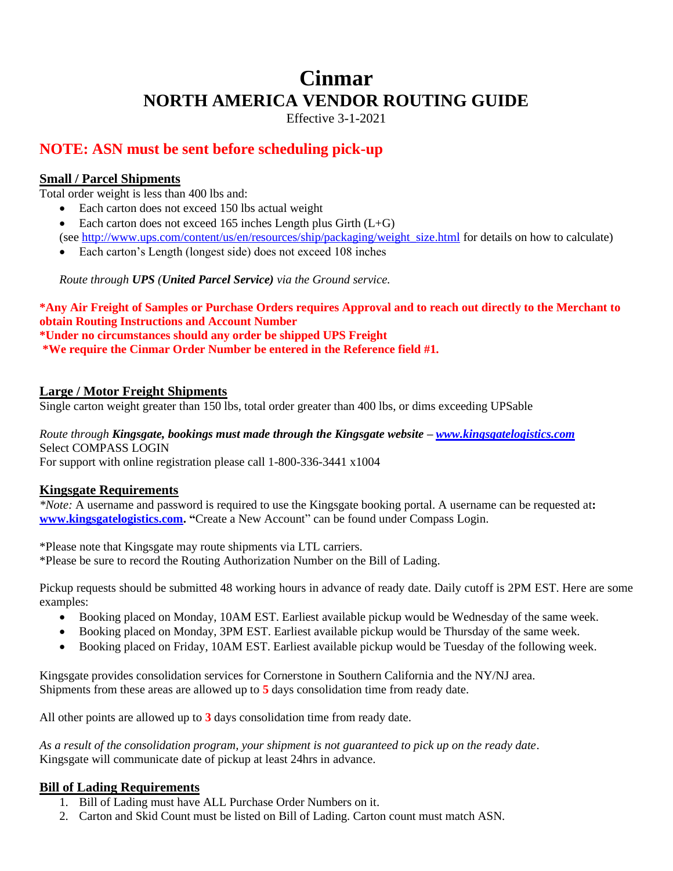# **Cinmar NORTH AMERICA VENDOR ROUTING GUIDE**

Effective 3-1-2021

# **NOTE: ASN must be sent before scheduling pick-up**

# **Small / Parcel Shipments**

Total order weight is less than 400 lbs and:

- Each carton does not exceed 150 lbs actual weight
- Each carton does not exceed 165 inches Length plus Girth  $(L+G)$ (see [http://www.ups.com/content/us/en/resources/ship/packaging/weight\\_size.html](http://www.ups.com/content/us/en/resources/ship/packaging/weight_size.html) for details on how to calculate)
- Each carton's Length (longest side) does not exceed 108 inches

*Route through UPS (United Parcel Service) via the Ground service.*

**\*Any Air Freight of Samples or Purchase Orders requires Approval and to reach out directly to the Merchant to obtain Routing Instructions and Account Number \*Under no circumstances should any order be shipped UPS Freight \*We require the Cinmar Order Number be entered in the Reference field #1.**

# **Large / Motor Freight Shipments**

Single carton weight greater than 150 lbs, total order greater than 400 lbs, or dims exceeding UPSable

*Route through Kingsgate, bookings must made through the Kingsgate website – [www.kingsgatelogistics.com](http://www.kingsgatelogistics.com/)* Select COMPASS LOGIN

For support with online registration please call 1-800-336-3441 x1004

## **Kingsgate Requirements**

*\*Note:* A username and password is required to use the Kingsgate booking portal. A username can be requested at**: [www.kingsgatelogistics.com.](http://www.kingsgatelogistics.com/) "**Create a New Account" can be found under Compass Login.

\*Please note that Kingsgate may route shipments via LTL carriers.

\*Please be sure to record the Routing Authorization Number on the Bill of Lading.

Pickup requests should be submitted 48 working hours in advance of ready date. Daily cutoff is 2PM EST. Here are some examples:

- Booking placed on Monday, 10AM EST. Earliest available pickup would be Wednesday of the same week.
- Booking placed on Monday, 3PM EST. Earliest available pickup would be Thursday of the same week.
- Booking placed on Friday, 10AM EST. Earliest available pickup would be Tuesday of the following week.

Kingsgate provides consolidation services for Cornerstone in Southern California and the NY/NJ area. Shipments from these areas are allowed up to **5** days consolidation time from ready date.

All other points are allowed up to **3** days consolidation time from ready date.

*As a result of the consolidation program, your shipment is not guaranteed to pick up on the ready date*. Kingsgate will communicate date of pickup at least 24hrs in advance.

## **Bill of Lading Requirements**

- 1. Bill of Lading must have ALL Purchase Order Numbers on it.
- 2. Carton and Skid Count must be listed on Bill of Lading. Carton count must match ASN.